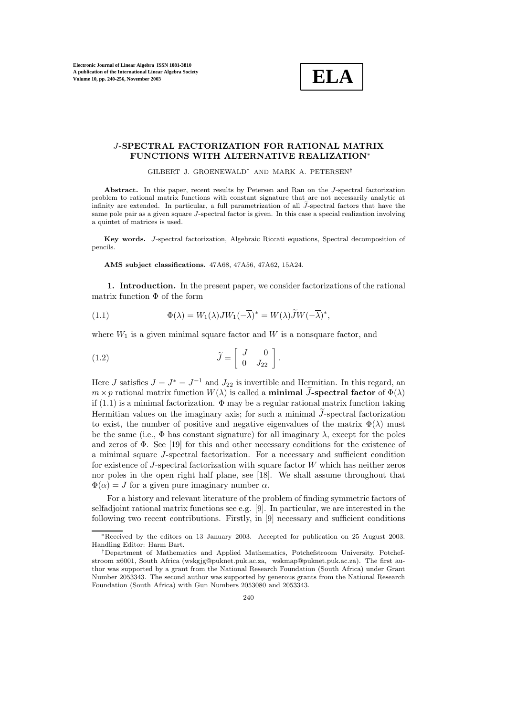

## J**-SPECTRAL FACTORIZATION FOR RATIONAL MATRIX FUNCTIONS WITH ALTERNATIVE REALIZATION**∗

GILBERT J. GROENEWALD† AND MARK A. PETERSEN†

**Abstract.** In this paper, recent results by Petersen and Ran on the J-spectral factorization problem to rational matrix functions with constant signature that are not necessarily analytic at infinity are extended. In particular, a full parametrization of all  $\tilde{J}$ -spectral factors that have the same pole pair as a given square J-spectral factor is given. In this case a special realization involving a quintet of matrices is used.

**Key words.** J-spectral factorization, Algebraic Riccati equations, Spectral decomposition of pencils.

**AMS subject classifications.** 47A68, 47A56, 47A62, 15A24.

**1. Introduction.** In the present paper, we consider factorizations of the rational matrix function  $\Phi$  of the form

(1.1) 
$$
\Phi(\lambda) = W_1(\lambda)JW_1(-\overline{\lambda})^* = W(\lambda)\widetilde{J}W(-\overline{\lambda})^*,
$$

where  $W_1$  is a given minimal square factor and  $W$  is a nonsquare factor, and

(1.2) 
$$
\widetilde{J} = \begin{bmatrix} J & 0 \\ 0 & J_{22} \end{bmatrix}.
$$

Here J satisfies  $J = J^* = J^{-1}$  and  $J_{22}$  is invertible and Hermitian. In this regard, an  $m \times p$  rational matrix function  $W(\lambda)$  is called a **minimal**  $\widetilde{J}$ **-spectral factor** of  $\Phi(\lambda)$ if  $(1.1)$  is a minimal factorization.  $\Phi$  may be a regular rational matrix function taking Hermitian values on the imaginary axis; for such a minimal  $\widetilde{J}$ -spectral factorization to exist, the number of positive and negative eigenvalues of the matrix  $\Phi(\lambda)$  must be the same (i.e.,  $\Phi$  has constant signature) for all imaginary  $\lambda$ , except for the poles and zeros of  $\Phi$ . See [19] for this and other necessary conditions for the existence of a minimal square J-spectral factorization. For a necessary and sufficient condition for existence of J-spectral factorization with square factor W which has neither zeros nor poles in the open right half plane, see [18]. We shall assume throughout that  $\Phi(\alpha) = J$  for a given pure imaginary number  $\alpha$ .

For a history and relevant literature of the problem of finding symmetric factors of selfadjoint rational matrix functions see e.g. [9]. In particular, we are interested in the following two recent contributions. Firstly, in [9] necessary and sufficient conditions

<sup>∗</sup>Received by the editors on 13 January 2003. Accepted for publication on 25 August 2003. Handling Editor: Harm Bart.

<sup>†</sup>Department of Mathematics and Applied Mathematics, Potchefstroom University, Potchefstroom x6001, South Africa (wskgjg@puknet.puk.ac.za, wskmap@puknet.puk.ac.za). The first author was supported by a grant from the National Research Foundation (South Africa) under Grant Number 2053343. The second author was supported by generous grants from the National Research Foundation (South Africa) with Gun Numbers 2053080 and 2053343.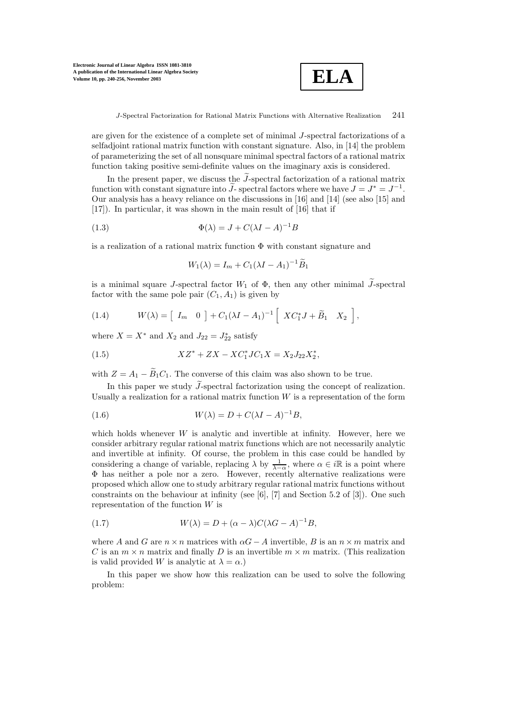

are given for the existence of a complete set of minimal J-spectral factorizations of a selfadjoint rational matrix function with constant signature. Also, in [14] the problem of parameterizing the set of all nonsquare minimal spectral factors of a rational matrix function taking positive semi-definite values on the imaginary axis is considered.

In the present paper, we discuss the  $\widetilde{J}$ -spectral factorization of a rational matrix function with constant signature into  $\tilde{J}$ - spectral factors where we have  $J = J^* = J^{-1}$ . Our analysis has a heavy reliance on the discussions in [16] and [14] (see also [15] and [17]). In particular, it was shown in the main result of [16] that if

(1.3) 
$$
\Phi(\lambda) = J + C(\lambda I - A)^{-1}B
$$

is a realization of a rational matrix function  $\Phi$  with constant signature and

$$
W_1(\lambda) = I_m + C_1(\lambda I - A_1)^{-1} \widetilde{B}_1
$$

is a minimal square *J*-spectral factor  $W_1$  of  $\Phi$ , then any other minimal  $\widetilde{J}$ -spectral factor with the same pole pair  $(C_1, A_1)$  is given by

(1.4) 
$$
W(\lambda) = \begin{bmatrix} I_m & 0 \end{bmatrix} + C_1(\lambda I - A_1)^{-1} \begin{bmatrix} X C_1^* J + \widetilde{B}_1 & X_2 \end{bmatrix},
$$

where  $X = X^*$  and  $X_2$  and  $J_{22} = J_{22}^*$  satisfy

(1.5) 
$$
XZ^* + ZX - XC_1^*JC_1X = X_2J_{22}X_2^*,
$$

with  $Z = A_1 - \widetilde{B}_1 C_1$ . The converse of this claim was also shown to be true.

In this paper we study  $\widetilde{J}$ -spectral factorization using the concept of realization. Usually a realization for a rational matrix function  $W$  is a representation of the form

(1.6) 
$$
W(\lambda) = D + C(\lambda I - A)^{-1}B,
$$

which holds whenever  $W$  is analytic and invertible at infinity. However, here we consider arbitrary regular rational matrix functions which are not necessarily analytic and invertible at infinity. Of course, the problem in this case could be handled by considering a change of variable, replacing  $\lambda$  by  $\frac{1}{\lambda - \alpha}$ , where  $\alpha \in i\mathbb{R}$  is a point where Φ has neither a pole nor a zero. However, recently alternative realizations were proposed which allow one to study arbitrary regular rational matrix functions without constraints on the behaviour at infinity (see  $[6]$ ,  $[7]$  and Section 5.2 of  $[3]$ ). One such representation of the function  $W$  is

(1.7) 
$$
W(\lambda) = D + (\alpha - \lambda)C(\lambda G - A)^{-1}B,
$$

where A and G are  $n \times n$  matrices with  $\alpha G - A$  invertible, B is an  $n \times m$  matrix and C is an  $m \times n$  matrix and finally D is an invertible  $m \times m$  matrix. (This realization is valid provided W is analytic at  $\lambda = \alpha$ .)

In this paper we show how this realization can be used to solve the following problem: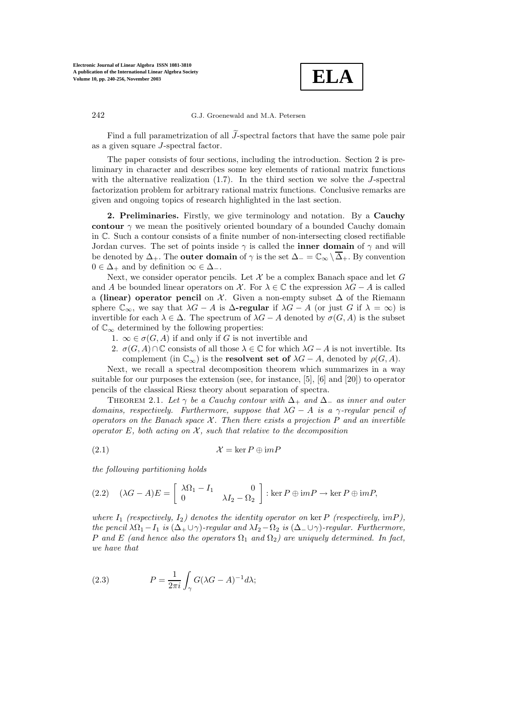

Find a full parametrization of all  $\widetilde{J}$ -spectral factors that have the same pole pair as a given square J-spectral factor.

The paper consists of four sections, including the introduction. Section 2is preliminary in character and describes some key elements of rational matrix functions with the alternative realization  $(1.7)$ . In the third section we solve the *J*-spectral factorization problem for arbitrary rational matrix functions. Conclusive remarks are given and ongoing topics of research highlighted in the last section.

**2. Preliminaries.** Firstly, we give terminology and notation. By a **Cauchy contour**  $\gamma$  we mean the positively oriented boundary of a bounded Cauchy domain in C. Such a contour consists of a finite number of non-intersecting closed rectifiable Jordan curves. The set of points inside  $\gamma$  is called the **inner domain** of  $\gamma$  and will be denoted by  $\Delta_+$ . The **outer domain** of  $\gamma$  is the set  $\Delta_- = \mathbb{C}_{\infty} \setminus \overline{\Delta_+}$ . By convention  $0 \in \Delta_+$  and by definition  $\infty \in \Delta_-$ .

Next, we consider operator pencils. Let  $\mathcal X$  be a complex Banach space and let  $G$ and A be bounded linear operators on X. For  $\lambda \in \mathbb{C}$  the expression  $\lambda G - A$  is called a **(linear) operator pencil** on X. Given a non-empty subset ∆ of the Riemann sphere  $\mathbb{C}_{\infty}$ , we say that  $\lambda G - A$  is  $\Delta$ **-regular** if  $\lambda G - A$  (or just G if  $\lambda = \infty$ ) is invertible for each  $\lambda \in \Delta$ . The spectrum of  $\lambda G - A$  denoted by  $\sigma(G, A)$  is the subset of  $\mathbb{C}_{\infty}$  determined by the following properties:

- 1.  $\infty \in \sigma(G, A)$  if and only if G is not invertible and
- 2.  $\sigma(G, A) \cap \mathbb{C}$  consists of all those  $\lambda \in \mathbb{C}$  for which  $\lambda G A$  is not invertible. Its complement (in  $\mathbb{C}_{\infty}$ ) is the **resolvent set of**  $\lambda G - A$ , denoted by  $\rho(G, A)$ .

Next, we recall a spectral decomposition theorem which summarizes in a way suitable for our purposes the extension (see, for instance, [5], [6] and [20]) to operator pencils of the classical Riesz theory about separation of spectra.

THEOREM 2.1. Let  $\gamma$  be a Cauchy contour with  $\Delta_+$  and  $\Delta_-$  as inner and outer *domains, respectively. Furthermore, suppose that* λG − A *is a* γ*-regular pencil of operators on the Banach space* X*. Then there exists a projection* P *and an invertible operator* E*, both acting on* X*, such that relative to the decomposition*

$$
(2.1) \t\t\t\t\t\mathcal{X} = \ker P \oplus imP
$$

*the following partitioning holds*

(2.2) 
$$
(\lambda G - A)E = \begin{bmatrix} \lambda \Omega_1 - I_1 & 0 \\ 0 & \lambda I_2 - \Omega_2 \end{bmatrix} : \ker P \oplus \mathrm{im} P \to \ker P \oplus \mathrm{im} P,
$$

where  $I_1$  (respectively,  $I_2$ ) denotes the identity operator on ker P (respectively, imP), *the pencil*  $\lambda \Omega_1 - I_1$  *is*  $(\Delta_+ \cup \gamma)$ *-regular and*  $\lambda I_2 - \Omega_2$  *is*  $(\Delta_- \cup \gamma)$ *-regular. Furthermore,* P and E (and hence also the operators  $\Omega_1$  and  $\Omega_2$ ) are uniquely determined. In fact, *we have that*

(2.3) 
$$
P = \frac{1}{2\pi i} \int_{\gamma} G(\lambda G - A)^{-1} d\lambda;
$$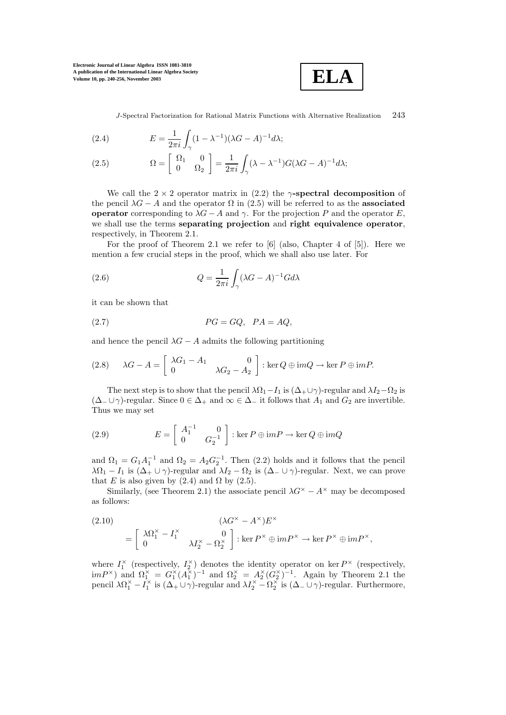

J-Spectral Factorization for Rational Matrix Functions with Alternative Realization 243

(2.4) 
$$
E = \frac{1}{2\pi i} \int_{\gamma} (1 - \lambda^{-1}) (\lambda G - A)^{-1} d\lambda;
$$

(2.5) 
$$
\Omega = \begin{bmatrix} \Omega_1 & 0 \\ 0 & \Omega_2 \end{bmatrix} = \frac{1}{2\pi i} \int_{\gamma} (\lambda - \lambda^{-1}) G(\lambda G - A)^{-1} d\lambda;
$$

We call the  $2 \times 2$  operator matrix in (2.2) the  $\gamma$ **-spectral decomposition** of the pencil  $\lambda G - A$  and the operator  $\Omega$  in (2.5) will be referred to as the **associated operator** corresponding to  $\lambda G - A$  and  $\gamma$ . For the projection P and the operator E, we shall use the terms **separating projection** and **right equivalence operator**, respectively, in Theorem 2.1.

For the proof of Theorem 2.1 we refer to [6] (also, Chapter 4 of [5]). Here we mention a few crucial steps in the proof, which we shall also use later. For

(2.6) 
$$
Q = \frac{1}{2\pi i} \int_{\gamma} (\lambda G - A)^{-1} G d\lambda
$$

it can be shown that

$$
(2.7) \t\t PG = GQ, \ PA = AQ,
$$

and hence the pencil  $\lambda G - A$  admits the following partitioning

(2.8) 
$$
\lambda G - A = \begin{bmatrix} \lambda G_1 - A_1 & 0 \\ 0 & \lambda G_2 - A_2 \end{bmatrix} : \ker Q \oplus \mathrm{im} Q \to \ker P \oplus \mathrm{im} P.
$$

The next step is to show that the pencil  $\lambda \Omega_1-I_1$  is  $(\Delta_+ \cup \gamma)$ -regular and  $\lambda I_2-\Omega_2$  is  $(\Delta_-\cup\gamma)$ -regular. Since  $0 \in \Delta_+$  and  $\infty \in \Delta_-$  it follows that  $A_1$  and  $G_2$  are invertible. Thus we may set

(2.9) 
$$
E = \begin{bmatrix} A_1^{-1} & 0\\ 0 & G_2^{-1} \end{bmatrix} : \ker P \oplus \mathrm{im} P \to \ker Q \oplus \mathrm{im} Q
$$

and  $\Omega_1 = G_1 A_1^{-1}$  and  $\Omega_2 = A_2 G_2^{-1}$ . Then (2.2) holds and it follows that the pencil  $\lambda \Omega_1 - I_1$  is  $(\Delta_+ \cup \gamma)$ -regular and  $\lambda I_2 - \Omega_2$  is  $(\Delta_- \cup \gamma)$ -regular. Next, we can prove that E is also given by  $(2.4)$  and  $\Omega$  by  $(2.5)$ .

Similarly, (see Theorem 2.1) the associate pencil  $\lambda G^{\times} - A^{\times}$  may be decomposed as follows:

(2.10)  
\n
$$
= \begin{bmatrix}\n\lambda \Omega_1^{\times} - I_1^{\times} & 0 \\
0 & \lambda I_2^{\times} - \Omega_2^{\times}\n\end{bmatrix} : \ker P^{\times} \oplus imP^{\times} \to \ker P^{\times} \oplus imP^{\times},
$$

where  $I_1^{\times}$  (respectively,  $I_2^{\times}$ ) denotes the identity operator on ker  $P^{\times}$  (respectively,  $\lim_{R \to \infty} P^{\times}$  and  $\Omega_1^{\times} = G_1^{\times} (A_1^{\times})^{-1}$  and  $\Omega_2^{\times} = A_2^{\times} (G_2^{\times})^{-1}$ . Again by Theorem 2.1 the pencil  $\lambda \Omega_1^{\times} - I_1^{\times}$  is  $(\Delta_+ \cup \gamma)$ -regular and  $\lambda I_2^{\times} - \Omega_2^{\times}$  is  $(\Delta_- \cup \gamma)$ -regular. Furthermore,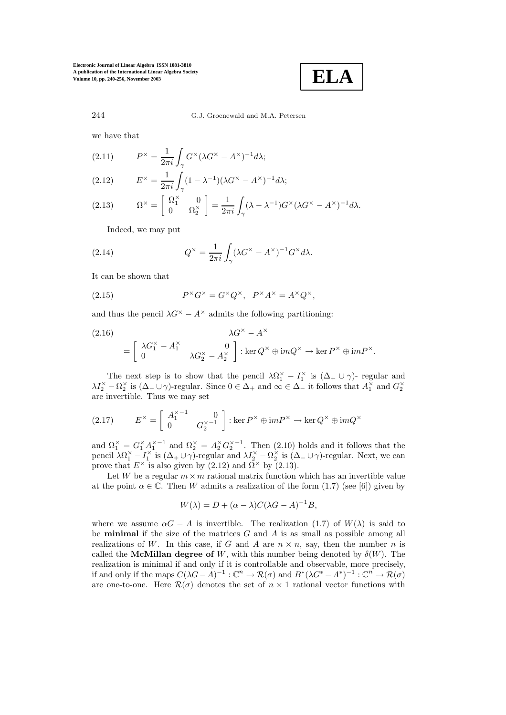

we have that

(2.11) 
$$
P^{\times} = \frac{1}{2\pi i} \int_{\gamma} G^{\times} (\lambda G^{\times} - A^{\times})^{-1} d\lambda;
$$

(2.12) 
$$
E^{\times} = \frac{1}{2\pi i} \int_{\gamma} (1 - \lambda^{-1}) (\lambda G^{\times} - A^{\times})^{-1} d\lambda;
$$

(2.13) 
$$
\Omega^{\times} = \begin{bmatrix} \Omega_1^{\times} & 0\\ 0 & \Omega_2^{\times} \end{bmatrix} = \frac{1}{2\pi i} \int_{\gamma} (\lambda - \lambda^{-1}) G^{\times} (\lambda G^{\times} - A^{\times})^{-1} d\lambda.
$$

Indeed, we may put

(2.14) 
$$
Q^{\times} = \frac{1}{2\pi i} \int_{\gamma} (\lambda G^{\times} - A^{\times})^{-1} G^{\times} d\lambda.
$$

It can be shown that

(2.15) 
$$
P^{\times}G^{\times} = G^{\times}Q^{\times}, \quad P^{\times}A^{\times} = A^{\times}Q^{\times},
$$

and thus the pencil  $\lambda G^{\times} - A^{\times}$  admits the following partitioning:

(2.16)  
\n
$$
\lambda G^{\times} - A^{\times}
$$
\n
$$
= \begin{bmatrix}\n\lambda G_1^{\times} - A_1^{\times} & 0 \\
0 & \lambda G_2^{\times} - A_2^{\times}\n\end{bmatrix} : \ker Q^{\times} \oplus \mathrm{im} Q^{\times} \to \ker P^{\times} \oplus \mathrm{im} P^{\times}.
$$

The next step is to show that the pencil  $\lambda \Omega_1^{\times} - I_1^{\times}$  is  $(\Delta_+ \cup \gamma)$ - regular and  $\lambda I_2^{\times} - \Omega_2^{\times}$  is  $(\Delta_- \cup \gamma)$ -regular. Since  $0 \in \Delta_+$  and  $\infty \in \Delta_-$  it follows that  $A_1^{\times}$  and  $G_2^{\times}$ are invertible. Thus we may set

(2.17) 
$$
E^{\times} = \begin{bmatrix} A_1^{\times -1} & 0\\ 0 & G_2^{\times -1} \end{bmatrix} : \ker P^{\times} \oplus \mathrm{im} P^{\times} \to \ker Q^{\times} \oplus \mathrm{im} Q^{\times}
$$

and  $\Omega_1^{\times} = G_1^{\times} A_1^{\times -1}$  and  $\Omega_2^{\times} = A_2^{\times} G_2^{\times -1}$ . Then (2.10) holds and it follows that the pencil  $\lambda \Omega_1^{\times} - I_1^{\times}$  is  $(\Delta_+ \cup \gamma)$ -regular and  $\lambda I_2^{\times} - \Omega_2^{\times}$  is  $(\Delta_- \cup \gamma)$ -regular. Next, we can prove that  $E^{\times}$  is also given by (2.12) and  $\overline{\Omega}^{\times}$  by (2.13).

Let W be a regular  $m \times m$  rational matrix function which has an invertible value at the point  $\alpha \in \mathbb{C}$ . Then W admits a realization of the form (1.7) (see [6]) given by

$$
W(\lambda) = D + (\alpha - \lambda)C(\lambda G - A)^{-1}B,
$$

where we assume  $\alpha G - A$  is invertible. The realization (1.7) of  $W(\lambda)$  is said to be **minimal** if the size of the matrices  $G$  and  $A$  is as small as possible among all realizations of W. In this case, if G and A are  $n \times n$ , say, then the number n is called the **McMillan degree of** W, with this number being denoted by  $\delta(W)$ . The realization is minimal if and only if it is controllable and observable, more precisely, if and only if the maps  $C(\lambda G-A)^{-1}$  :  $\mathbb{C}^n \to \mathcal{R}(\sigma)$  and  $B^*(\lambda G^* - A^*)^{-1}$  :  $\mathbb{C}^n \to \mathcal{R}(\sigma)$ are one-to-one. Here  $\mathcal{R}(\sigma)$  denotes the set of  $n \times 1$  rational vector functions with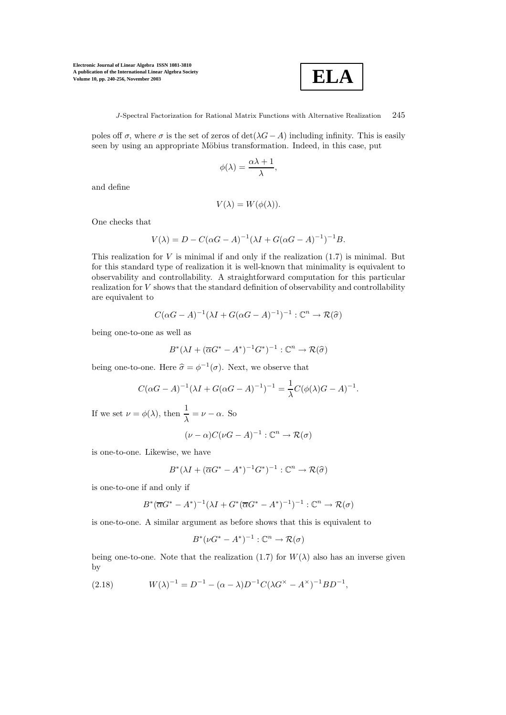

J-Spectral Factorization for Rational Matrix Functions with Alternative Realization 245

poles off  $\sigma$ , where  $\sigma$  is the set of zeros of det( $\lambda G - A$ ) including infinity. This is easily seen by using an appropriate Möbius transformation. Indeed, in this case, put

$$
\phi(\lambda) = \frac{\alpha \lambda + 1}{\lambda},
$$

and define

$$
V(\lambda) = W(\phi(\lambda)).
$$

One checks that

$$
V(\lambda) = D - C(\alpha G - A)^{-1}(\lambda I + G(\alpha G - A)^{-1})^{-1}B.
$$

This realization for  $V$  is minimal if and only if the realization  $(1.7)$  is minimal. But for this standard type of realization it is well-known that minimality is equivalent to observability and controllability. A straightforward computation for this particular realization for V shows that the standard definition of observability and controllability are equivalent to

$$
C(\alpha G - A)^{-1}(\lambda I + G(\alpha G - A)^{-1})^{-1} : \mathbb{C}^n \to \mathcal{R}(\widehat{\sigma})
$$

being one-to-one as well as

$$
B^*(\lambda I + (\overline{\alpha}G^* - A^*)^{-1}G^*)^{-1} : \mathbb{C}^n \to \mathcal{R}(\widehat{\sigma})
$$

being one-to-one. Here  $\hat{\sigma} = \phi^{-1}(\sigma)$ . Next, we observe that

$$
C(\alpha G - A)^{-1}(\lambda I + G(\alpha G - A)^{-1})^{-1} = \frac{1}{\lambda}C(\phi(\lambda)G - A)^{-1}.
$$

If we set  $\nu = \phi(\lambda)$ , then  $\frac{1}{\lambda} = \nu - \alpha$ . So

$$
(\nu - \alpha)C(\nu G - A)^{-1} : \mathbb{C}^n \to \mathcal{R}(\sigma)
$$

is one-to-one. Likewise, we have

$$
B^*(\lambda I + (\overline{\alpha}G^* - A^*)^{-1}G^*)^{-1} : \mathbb{C}^n \to \mathcal{R}(\widehat{\sigma})
$$

is one-to-one if and only if

$$
B^*(\overline{\alpha}G^* - A^*)^{-1}(\lambda I + G^*(\overline{\alpha}G^* - A^*)^{-1})^{-1} : \mathbb{C}^n \to \mathcal{R}(\sigma)
$$

is one-to-one. A similar argument as before shows that this is equivalent to

$$
B^*(\nu G^* - A^*)^{-1} : \mathbb{C}^n \to \mathcal{R}(\sigma)
$$

being one-to-one. Note that the realization (1.7) for  $W(\lambda)$  also has an inverse given by

(2.18)  $W(\lambda)^{-1} = D^{-1} - (\alpha - \lambda)D^{-1}C(\lambda G^{\times} - A^{\times})^{-1}BD^{-1},$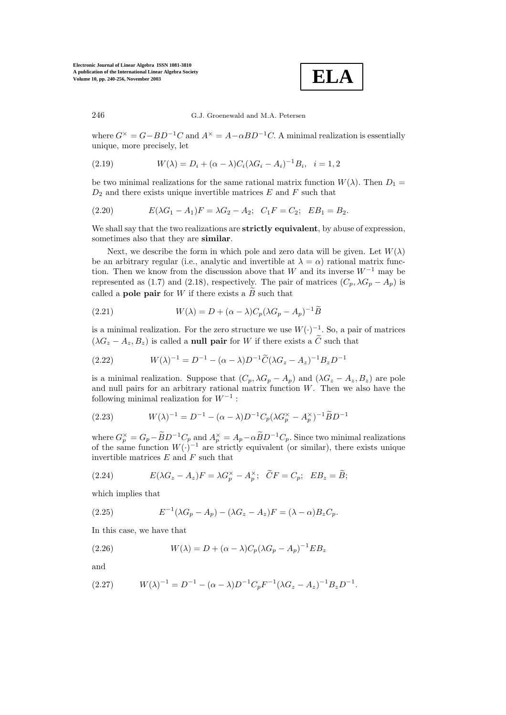

where  $G^{\times} = G - BD^{-1}C$  and  $A^{\times} = A - \alpha BD^{-1}C$ . A minimal realization is essentially unique, more precisely, let

(2.19) 
$$
W(\lambda) = D_i + (\alpha - \lambda)C_i(\lambda G_i - A_i)^{-1}B_i, \quad i = 1, 2
$$

be two minimal realizations for the same rational matrix function  $W(\lambda)$ . Then  $D_1 =$  $D_2$  and there exists unique invertible matrices E and F such that

(2.20) 
$$
E(\lambda G_1 - A_1)F = \lambda G_2 - A_2; \quad C_1F = C_2; \quad EB_1 = B_2.
$$

We shall say that the two realizations are **strictly equivalent**, by abuse of expression, sometimes also that they are **similar**.

Next, we describe the form in which pole and zero data will be given. Let  $W(\lambda)$ be an arbitrary regular (i.e., analytic and invertible at  $\lambda = \alpha$ ) rational matrix function. Then we know from the discussion above that W and its inverse  $W^{-1}$  may be represented as (1.7) and (2.18), respectively. The pair of matrices  $(C_p, \lambda G_p - A_p)$  is called a **pole pair** for W if there exists a  $\tilde{B}$  such that

(2.21) 
$$
W(\lambda) = D + (\alpha - \lambda)C_p(\lambda G_p - A_p)^{-1}\widetilde{B}
$$

is a minimal realization. For the zero structure we use  $W(\cdot)^{-1}$ . So, a pair of matrices  $(\lambda G_z - A_z, B_z)$  is called a **null pair** for W if there exists a  $\tilde{C}$  such that

(2.22) 
$$
W(\lambda)^{-1} = D^{-1} - (\alpha - \lambda)D^{-1}\widetilde{C}(\lambda G_z - A_z)^{-1}B_zD^{-1}
$$

is a minimal realization. Suppose that  $(C_p, \lambda G_p - A_p)$  and  $(\lambda G_z - A_z, B_z)$  are pole and null pairs for an arbitrary rational matrix function  $W$ . Then we also have the following minimal realization for  $W^{-1}$ :

(2.23) 
$$
W(\lambda)^{-1} = D^{-1} - (\alpha - \lambda)D^{-1}C_p(\lambda G_p^{\times} - A_p^{\times})^{-1}\widetilde{B}D^{-1}
$$

where  $G_p^{\times} = G_p - \widetilde{B}D^{-1}C_p$  and  $A_p^{\times} = A_p - \alpha \widetilde{B}D^{-1}C_p$ . Since two minimal realizations of the same function  $W(\cdot)^{-1}$  are strictly equivalent (or similar), there exists unique invertible matrices  $E$  and  $F$  such that

(2.24) 
$$
E(\lambda G_z - A_z)F = \lambda G_p^{\times} - A_p^{\times}; \quad \tilde{C}F = C_p; \quad EB_z = \tilde{B};
$$

which implies that

(2.25) 
$$
E^{-1}(\lambda G_p - A_p) - (\lambda G_z - A_z)F = (\lambda - \alpha)B_zC_p.
$$

In this case, we have that

(2.26) 
$$
W(\lambda) = D + (\alpha - \lambda)C_p(\lambda G_p - A_p)^{-1}EB_z
$$

and

$$
(2.27) \t W(\lambda)^{-1} = D^{-1} - (\alpha - \lambda)D^{-1}C_pF^{-1}(\lambda G_z - A_z)^{-1}B_zD^{-1}.
$$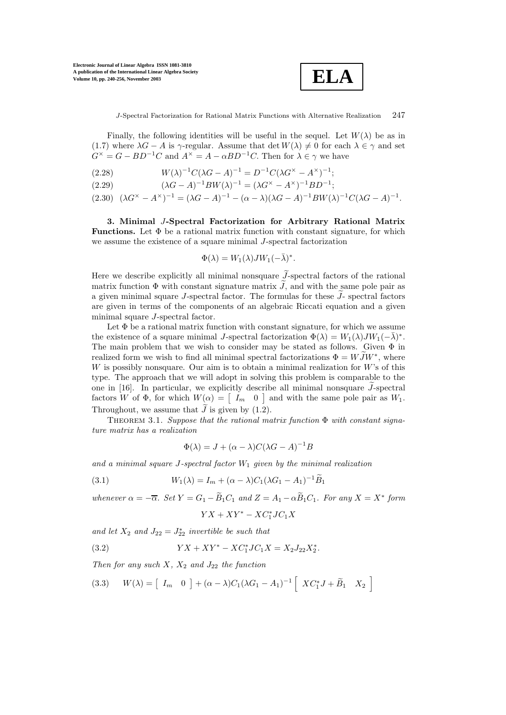

J-Spectral Factorization for Rational Matrix Functions with Alternative Realization 247

Finally, the following identities will be useful in the sequel. Let  $W(\lambda)$  be as in (1.7) where  $\lambda G - A$  is  $\gamma$ -regular. Assume that det  $W(\lambda) \neq 0$  for each  $\lambda \in \gamma$  and set  $G^{\times} = G - BD^{-1}C$  and  $A^{\times} = A - \alpha BD^{-1}C$ . Then for  $\lambda \in \gamma$  we have

(2.28)  $W(\lambda)^{-1}C(\lambda G - A)^{-1} = D^{-1}C(\lambda G^{\times} - A^{\times})^{-1};$ 

(2.29) 
$$
(\lambda G - A)^{-1}BW(\lambda)^{-1} = (\lambda G^{\times} - A^{\times})^{-1}BD^{-1};
$$

 $(2.30) \quad (\lambda G^{\times} - A^{\times})^{-1} = (\lambda G - A)^{-1} - (\alpha - \lambda)(\lambda G - A)^{-1}BW(\lambda)^{-1}C(\lambda G - A)^{-1}.$ 

**3. Minimal** J**-Spectral Factorization for Arbitrary Rational Matrix Functions.** Let  $\Phi$  be a rational matrix function with constant signature, for which we assume the existence of a square minimal J-spectral factorization

$$
\Phi(\lambda) = W_1(\lambda) J W_1(-\bar{\lambda})^*.
$$

Here we describe explicitly all minimal nonsquare  $\widetilde{J}$ -spectral factors of the rational matrix function  $\Phi$  with constant signature matrix  $\tilde{J}$ , and with the same pole pair as a given minimal square J-spectral factor. The formulas for these  $\widetilde{J}$ -spectral factors are given in terms of the components of an algebraic Riccati equation and a given minimal square J-spectral factor.

Let  $\Phi$  be a rational matrix function with constant signature, for which we assume the existence of a square minimal J-spectral factorization  $\Phi(\lambda) = W_1(\lambda)JW_1(-\overline{\lambda})^*$ . The main problem that we wish to consider may be stated as follows. Given Φ in realized form we wish to find all minimal spectral factorizations  $\Phi = W\overline{J}W^*$ , where W is possibly nonsquare. Our aim is to obtain a minimal realization for  $W$ 's of this type. The approach that we will adopt in solving this problem is comparable to the one in [16]. In particular, we explicitly describe all minimal nonsquare  $\widetilde{J}$ -spectral factors W of  $\Phi$ , for which  $W(\alpha) = \begin{bmatrix} I_m & 0 \end{bmatrix}$  and with the same pole pair as  $W_1$ . Throughout, we assume that  $\tilde{J}$  is given by (1.2).

Theorem 3.1. *Suppose that the rational matrix function* Φ *with constant signature matrix has a realization*

$$
\Phi(\lambda) = J + (\alpha - \lambda)C(\lambda G - A)^{-1}B
$$

and a minimal square  $J$ -spectral factor  $W_1$  given by the minimal realization

(3.1) 
$$
W_1(\lambda) = I_m + (\alpha - \lambda)C_1(\lambda G_1 - A_1)^{-1}\widetilde{B}_1
$$

*whenever*  $\alpha = -\overline{\alpha}$ *.* Set  $Y = G_1 - \widetilde{B}_1C_1$  and  $Z = A_1 - \alpha \widetilde{B}_1C_1$ *. For any*  $X = X^*$  form

$$
YX + XY^* - XC_1^*JC_1X
$$

and let  $X_2$  and  $J_{22} = J_{22}^*$  *invertible be such that* 

(3.2) 
$$
YX + XY^* - XC_1^*JC_1X = X_2J_{22}X_2^*.
$$

*Then for any such*  $X$ *,*  $X_2$  *and*  $J_{22}$  *the function* 

(3.3) 
$$
W(\lambda) = \begin{bmatrix} I_m & 0 \end{bmatrix} + (\alpha - \lambda)C_1(\lambda G_1 - A_1)^{-1} \begin{bmatrix} X C_1^* J + \widetilde{B}_1 & X_2 \end{bmatrix}
$$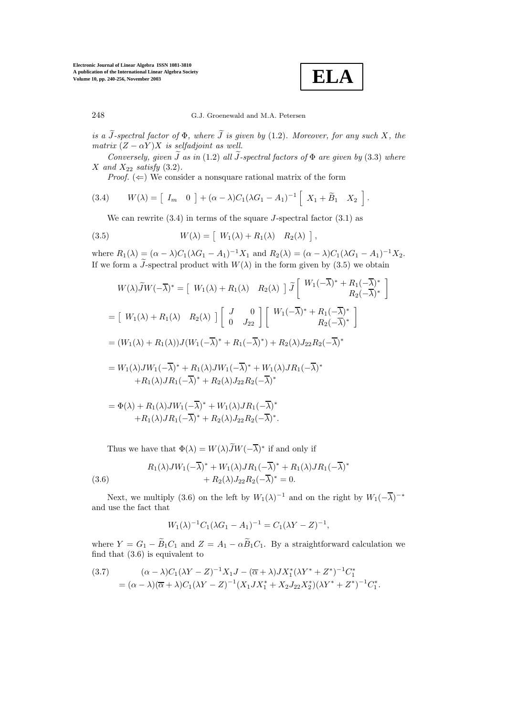**ELA**

∗

248 G.J. Groenewald and M.A. Petersen

*is a*  $\widetilde{J}$ -spectral factor of  $\Phi$ , where  $\widetilde{J}$  is given by (1.2). Moreover, for any such X, the *matrix*  $(Z - \alpha Y)X$  *is selfadjoint as well.* 

*Conversely, given*  $\widetilde{J}$  *as in* (1.2) *all*  $\widetilde{J}$ -spectral factors of  $\Phi$  are given by (3.3) *where X* and  $X_{22}$  *satisfy* (3.2).

*Proof.*  $(\Leftarrow)$  We consider a nonsquare rational matrix of the form

(3.4) 
$$
W(\lambda) = \begin{bmatrix} I_m & 0 \end{bmatrix} + (\alpha - \lambda)C_1(\lambda G_1 - A_1)^{-1} \begin{bmatrix} X_1 + \widetilde{B}_1 & X_2 \end{bmatrix}.
$$

We can rewrite  $(3.4)$  in terms of the square *J*-spectral factor  $(3.1)$  as

(3.5) 
$$
W(\lambda) = \left[ \begin{array}{cc} W_1(\lambda) + R_1(\lambda) & R_2(\lambda) \end{array} \right],
$$

where  $R_1(\lambda) = (\alpha - \lambda)C_1(\lambda G_1 - A_1)^{-1}X_1$  and  $R_2(\lambda) = (\alpha - \lambda)C_1(\lambda G_1 - A_1)^{-1}X_2$ . If we form a  $\tilde{J}$ -spectral product with  $W(\lambda)$  in the form given by (3.5) we obtain

$$
W(\lambda)\tilde{J}W(-\overline{\lambda})^* = \begin{bmatrix} W_1(\lambda) + R_1(\lambda) & R_2(\lambda) \end{bmatrix} \tilde{J} \begin{bmatrix} W_1(-\overline{\lambda})^* + R_1(-\overline{\lambda})^* \\ R_2(-\overline{\lambda})^* \end{bmatrix}
$$
  
\n
$$
= \begin{bmatrix} W_1(\lambda) + R_1(\lambda) & R_2(\lambda) \end{bmatrix} \begin{bmatrix} J & 0 \\ 0 & J_{22} \end{bmatrix} \begin{bmatrix} W_1(-\overline{\lambda})^* + R_1(-\overline{\lambda})^* \\ R_2(-\overline{\lambda})^* \end{bmatrix}
$$
  
\n
$$
= (W_1(\lambda) + R_1(\lambda))J(W_1(-\overline{\lambda})^* + R_1(-\overline{\lambda})^*) + R_2(\lambda)J_{22}R_2(-\overline{\lambda})^*
$$
  
\n
$$
= W_1(\lambda)JW_1(-\overline{\lambda})^* + R_1(\lambda)JW_1(-\overline{\lambda})^* + W_1(\lambda)JR_1(-\overline{\lambda})^*
$$
  
\n
$$
+ R_1(\lambda)JR_1(-\overline{\lambda})^* + R_2(\lambda)J_{22}R_2(-\overline{\lambda})^*
$$

$$
= \Phi(\lambda) + R_1(\lambda)JW_1(-\overline{\lambda})^* + W_1(\lambda)JR_1(-\overline{\lambda})^* + R_1(\lambda)JR_1(-\overline{\lambda})^* + R_2(\lambda)J_{22}R_2(-\overline{\lambda})^*.
$$

Thus we have that  $\Phi(\lambda) = W(\lambda)\widetilde{J}W(-\overline{\lambda})^*$  if and only if

(3.6) 
$$
R_1(\lambda)JW_1(-\overline{\lambda})^* + W_1(\lambda)JR_1(-\overline{\lambda})^* + R_1(\lambda)JR_1(-\overline{\lambda}) + R_2(\lambda)J_{22}R_2(-\overline{\lambda})^* = 0.
$$

Next, we multiply (3.6) on the left by  $W_1(\lambda)^{-1}$  and on the right by  $W_1(-\overline{\lambda})^{-*}$ and use the fact that

$$
W_1(\lambda)^{-1}C_1(\lambda G_1 - A_1)^{-1} = C_1(\lambda Y - Z)^{-1},
$$

where  $Y = G_1 - \widetilde{B}_1 C_1$  and  $Z = A_1 - \alpha \widetilde{B}_1 C_1$ . By a straightforward calculation we find that (3.6) is equivalent to

$$
(3.7) \qquad (\alpha - \lambda)C_1(\lambda Y - Z)^{-1}X_1J - (\overline{\alpha} + \lambda)JX_1^*(\lambda Y^* + Z^*)^{-1}C_1^*
$$

$$
= (\alpha - \lambda)(\overline{\alpha} + \lambda)C_1(\lambda Y - Z)^{-1}(X_1JX_1^* + X_2J_{22}X_2^*)(\lambda Y^* + Z^*)^{-1}C_1^*.
$$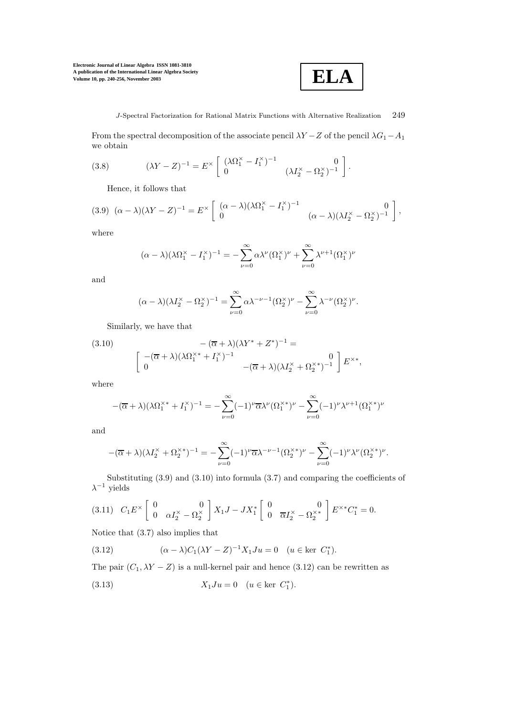

From the spectral decomposition of the associate pencil  $\lambda Y - Z$  of the pencil  $\lambda G_1 - A_1$ we obtain

(3.8) 
$$
(\lambda Y - Z)^{-1} = E^{\times} \begin{bmatrix} (\lambda \Omega_1^{\times} - I_1^{\times})^{-1} & 0\\ 0 & (\lambda I_2^{\times} - \Omega_2^{\times})^{-1} \end{bmatrix}.
$$

Hence, it follows that

$$
(3.9) \ (\alpha - \lambda)(\lambda Y - Z)^{-1} = E^{\times} \begin{bmatrix} (\alpha - \lambda)(\lambda \Omega_1^{\times} - I_1^{\times})^{-1} & 0\\ 0 & (\alpha - \lambda)(\lambda I_2^{\times} - \Omega_2^{\times})^{-1} \end{bmatrix},
$$

where

$$
(\alpha - \lambda)(\lambda \Omega_1^{\times} - I_1^{\times})^{-1} = -\sum_{\nu=0}^{\infty} \alpha \lambda^{\nu} (\Omega_1^{\times})^{\nu} + \sum_{\nu=0}^{\infty} \lambda^{\nu+1} (\Omega_1^{\times})^{\nu}
$$

and

$$
(\alpha - \lambda)(\lambda I_2^{\times} - \Omega_2^{\times})^{-1} = \sum_{\nu=0}^{\infty} \alpha \lambda^{-\nu-1} (\Omega_2^{\times})^{\nu} - \sum_{\nu=0}^{\infty} \lambda^{-\nu} (\Omega_2^{\times})^{\nu}.
$$

Similarly, we have that

(3.10)  
\n
$$
-(\overline{\alpha} + \lambda)(\lambda Y^* + Z^*)^{-1} =
$$
\n
$$
\begin{bmatrix}\n-(\overline{\alpha} + \lambda)(\lambda Y^* + I_1^{\times})^{-1} & 0 \\
0 & -(\overline{\alpha} + \lambda)(\lambda I_2^{\times} + \Omega_2^{\times})^{-1}\n\end{bmatrix} E^{\times *},
$$

where

$$
-(\overline{\alpha}+\lambda)(\lambda \Omega_1^{\times}{}^* + I_1^{\times})^{-1} = -\sum_{\nu=0}^{\infty} (-1)^{\nu} \overline{\alpha} \lambda^{\nu} (\Omega_1^{\times}{}^*)^{\nu} - \sum_{\nu=0}^{\infty} (-1)^{\nu} \lambda^{\nu+1} (\Omega_1^{\times}{}^*)^{\nu}
$$

and

$$
-(\overline{\alpha}+\lambda)(\lambda I_2^{\times}+\Omega_2^{\times})^{-1}=-\sum_{\nu=0}^{\infty}(-1)^{\nu}\overline{\alpha}\lambda^{-\nu-1}(\Omega_2^{\times})^{\nu}-\sum_{\nu=0}^{\infty}(-1)^{\nu}\lambda^{\nu}(\Omega_2^{\times})^{\nu}.
$$

Substituting  $(3.9)$  and  $(3.10)$  into formula  $(3.7)$  and comparing the coefficients of  $\lambda^{-1}$  yields

$$
(3.11) \quad C_1 E^{\times} \begin{bmatrix} 0 & 0 \\ 0 & \alpha I_2^{\times} - \Omega_2^{\times} \end{bmatrix} X_1 J - J X_1^* \begin{bmatrix} 0 & 0 \\ 0 & \overline{\alpha} I_2^{\times} - \Omega_2^{\times *} \end{bmatrix} E^{\times *} C_1^* = 0.
$$

Notice that (3.7) also implies that

(3.12) 
$$
(\alpha - \lambda)C_1(\lambda Y - Z)^{-1}X_1Ju = 0 \quad (u \in \text{ker } C_1^*).
$$

The pair  $(C_1, \lambda Y - Z)$  is a null-kernel pair and hence (3.12) can be rewritten as

(3.13) 
$$
X_1Ju = 0 \quad (u \in \text{ker } C_1^*).
$$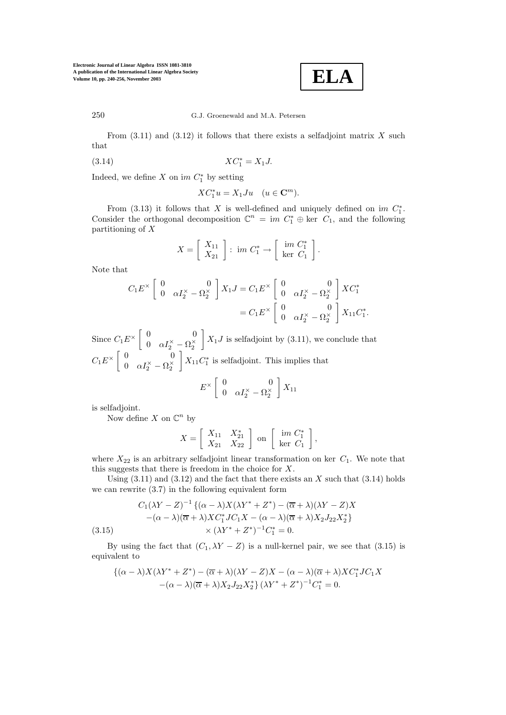

250 G.J. Groenewald and M.A. Petersen

From  $(3.11)$  and  $(3.12)$  it follows that there exists a selfadjoint matrix X such that

(3.14) 
$$
XC_1^* = X_1 J.
$$

Indeed, we define X on  $im C_1^*$  by setting

$$
XC_1^*u=X_1Ju\quad (u\in{\mathbf{C}}^m).
$$

From (3.13) it follows that X is well-defined and uniquely defined on im  $C_1^*$ . Consider the orthogonal decomposition  $\mathbb{C}^n = im C_1^* \oplus ker C_1$ , and the following partitioning of X

$$
X = \left[\begin{array}{c} X_{11} \\ X_{21} \end{array}\right] : \text{ im } C_1^* \to \left[\begin{array}{c} \text{ im } C_1^* \\ \text{ker } C_1 \end{array}\right].
$$

Note that

$$
C_1 E^{\times} \begin{bmatrix} 0 & 0 \\ 0 & \alpha I_2^{\times} - \Omega_2^{\times} \end{bmatrix} X_1 J = C_1 E^{\times} \begin{bmatrix} 0 & 0 \\ 0 & \alpha I_2^{\times} - \Omega_2^{\times} \end{bmatrix} X C_1^*
$$
  
=  $C_1 E^{\times} \begin{bmatrix} 0 & 0 \\ 0 & \alpha I_2^{\times} - \Omega_2^{\times} \end{bmatrix} X_{11} C_1^*.$ 

Since  $C_1 E^{\times} \begin{bmatrix} 0 & 0 \\ 0 & \alpha I^{\times} \end{bmatrix}$ 0  $\alpha I_2^{\times} - \Omega_2^{\times}$  $\left[X_1J\right]$  is selfadjoint by (3.11), we conclude that  $C_1E^{\times}$   $\begin{bmatrix} 0 & 0 \\ 0 & 0 \end{bmatrix}$ 0  $\alpha I_2^{\times} - \Omega_2^{\times}$  $X_{11}C_1^*$  is selfadjoint. This implies that

$$
E^{\times} \left[ \begin{array}{cc} 0 & 0 \\ 0 & \alpha I_2^{\times} - \Omega_2^{\times} \end{array} \right] X_{11}
$$

is selfadjoint.

Now define X on  $\mathbb{C}^n$  by

$$
X = \left[ \begin{array}{cc} X_{11} & X_{21}^* \\ X_{21} & X_{22} \end{array} \right] \text{ on } \left[ \begin{array}{c} \text{im } C_1^* \\ \text{ker } C_1 \end{array} \right],
$$

where  $X_{22}$  is an arbitrary selfadjoint linear transformation on ker  $C_1$ . We note that this suggests that there is freedom in the choice for X.

Using  $(3.11)$  and  $(3.12)$  and the fact that there exists an X such that  $(3.14)$  holds we can rewrite (3.7) in the following equivalent form

$$
C_1(\lambda Y - Z)^{-1} \{ (\alpha - \lambda)X(\lambda Y^* + Z^*) - (\overline{\alpha} + \lambda)(\lambda Y - Z)X
$$

$$
-(\alpha - \lambda)(\overline{\alpha} + \lambda)XC_1^*JC_1X - (\alpha - \lambda)(\overline{\alpha} + \lambda)X_2J_{22}X_2^*\}
$$

$$
\times (\lambda Y^* + Z^*)^{-1}C_1^* = 0.
$$

By using the fact that  $(C_1, \lambda Y - Z)$  is a null-kernel pair, we see that (3.15) is equivalent to

$$
\{(\alpha - \lambda)X(\lambda Y^* + Z^*) - (\overline{\alpha} + \lambda)(\lambda Y - Z)X - (\alpha - \lambda)(\overline{\alpha} + \lambda)XC_1^*JC_1X - (\alpha - \lambda)(\overline{\alpha} + \lambda)X_2J_{22}X_2^*\}(\lambda Y^* + Z^*)^{-1}C_1^* = 0.
$$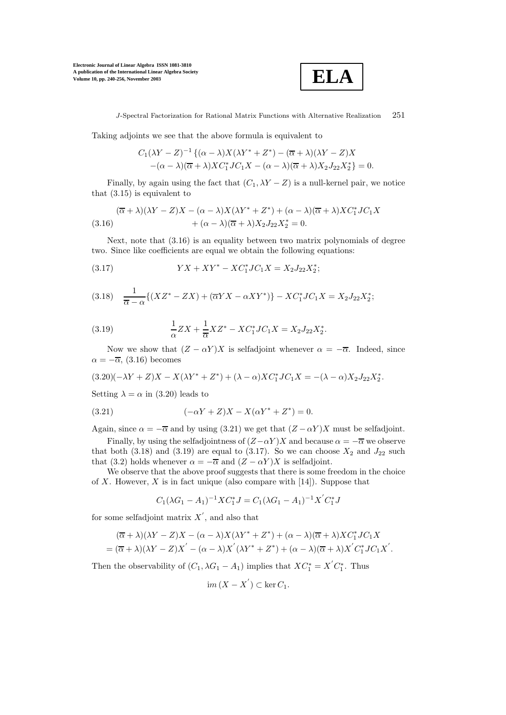

J-Spectral Factorization for Rational Matrix Functions with Alternative Realization 251

Taking adjoints we see that the above formula is equivalent to

$$
C_1(\lambda Y - Z)^{-1} \{ (\alpha - \lambda) X (\lambda Y^* + Z^*) - (\overline{\alpha} + \lambda) (\lambda Y - Z) X
$$
  
-(\alpha - \lambda) (\overline{\alpha} + \lambda) X C\_1^\* J C\_1 X - (\alpha - \lambda) (\overline{\alpha} + \lambda) X\_2 J\_{22} X\_2^\* \} = 0.

Finally, by again using the fact that  $(C_1, \lambda Y - Z)$  is a null-kernel pair, we notice that (3.15) is equivalent to

$$
(\overline{\alpha} + \lambda)(\lambda Y - Z)X - (\alpha - \lambda)X(\lambda Y^* + Z^*) + (\alpha - \lambda)(\overline{\alpha} + \lambda)XC_1^*JC_1X
$$
  
(3.16) 
$$
+ (\alpha - \lambda)(\overline{\alpha} + \lambda)X_2J_{22}X_2^* = 0.
$$

Next, note that (3.16) is an equality between two matrix polynomials of degree two. Since like coefficients are equal we obtain the following equations:

(3.17) 
$$
YX + XY^* - XC_1^*JC_1X = X_2J_{22}X_2^*;
$$

$$
(3.18)\quad \frac{1}{\overline{\alpha}-\alpha}\{(XZ^*-ZX)+(\overline{\alpha}YX-\alpha XY^*)\}-XC_1^*JC_1X=X_2J_{22}X_2^*;
$$

(3.19) 
$$
\frac{1}{\alpha}ZX + \frac{1}{\overline{\alpha}}XZ^* - XC_1^*JC_1X = X_2J_{22}X_2^*.
$$

Now we show that  $(Z - \alpha Y)X$  is selfadjoint whenever  $\alpha = -\overline{\alpha}$ . Indeed, since  $\alpha = -\overline{\alpha}$ , (3.16) becomes

$$
(3.20)(-\lambda Y + Z)X - X(\lambda Y^* + Z^*) + (\lambda - \alpha)XC_1^*JC_1X = -(\lambda - \alpha)X_2J_{22}X_2^*.
$$

Setting  $\lambda = \alpha$  in (3.20) leads to

(3.21) 
$$
(-\alpha Y + Z)X - X(\alpha Y^* + Z^*) = 0.
$$

Again, since  $\alpha = -\overline{\alpha}$  and by using (3.21) we get that  $(Z - \alpha Y)X$  must be selfadjoint.

Finally, by using the selfadjointness of  $(Z-\alpha Y)X$  and because  $\alpha = -\overline{\alpha}$  we observe that both (3.18) and (3.19) are equal to (3.17). So we can choose  $X_2$  and  $J_{22}$  such that (3.2) holds whenever  $\alpha = -\overline{\alpha}$  and  $(Z - \alpha Y)X$  is selfadjoint.

We observe that the above proof suggests that there is some freedom in the choice of X. However, X is in fact unique (also compare with  $[14]$ ). Suppose that

$$
C_1(\lambda G_1 - A_1)^{-1} X C_1^* J = C_1(\lambda G_1 - A_1)^{-1} X' C_1^* J
$$

for some selfadjoint matrix  $X'$ , and also that

$$
(\overline{\alpha} + \lambda)(\lambda Y - Z)X - (\alpha - \lambda)X(\lambda Y^* + Z^*) + (\alpha - \lambda)(\overline{\alpha} + \lambda)XC_1^*JC_1X
$$
  
= 
$$
(\overline{\alpha} + \lambda)(\lambda Y - Z)X' - (\alpha - \lambda)X'(\lambda Y^* + Z^*) + (\alpha - \lambda)(\overline{\alpha} + \lambda)X'C_1^*JC_1X'.
$$

Then the observability of  $(C_1, \lambda G_1 - A_1)$  implies that  $XC_1^* = X'C_1^*$ . Thus

$$
im(X - X^{'}) \subset \ker C_1.
$$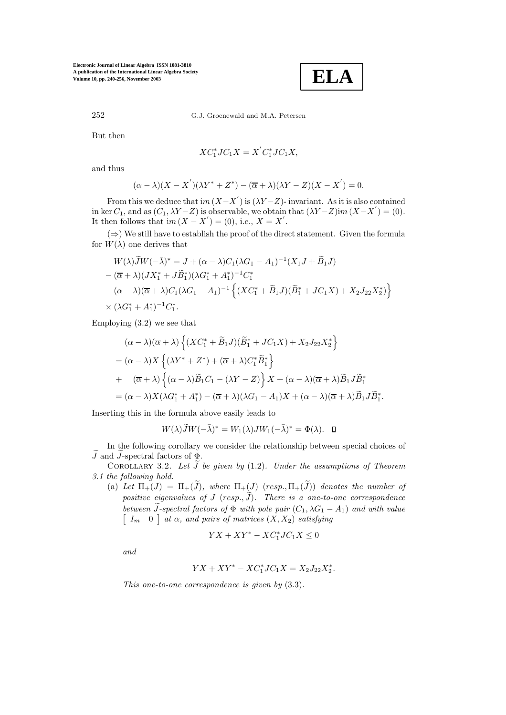

252 G.J. Groenewald and M.A. Petersen

But then

$$
XC_1^*JC_1X = X'C_1^*JC_1X,
$$

and thus

$$
(\alpha - \lambda)(X - X^{'})(\lambda Y^* + Z^*) - (\overline{\alpha} + \lambda)(\lambda Y - Z)(X - X^{'}) = 0.
$$

From this we deduce that  $im(X-X')$  is  $(\lambda Y-Z)$ - invariant. As it is also contained in ker  $C_1$ , and as  $(C_1, \lambda Y - Z)$  is observable, we obtain that  $(\lambda Y - Z)$ im  $(X - X') = (0)$ . It then follows that  $im(X - X') = (0)$ , i.e.,  $X = X'$ .

 $(\Rightarrow)$  We still have to establish the proof of the direct statement. Given the formula for  $W(\lambda)$  one derives that

$$
W(\lambda)\widetilde{J}W(-\bar{\lambda})^* = J + (\alpha - \lambda)C_1(\lambda G_1 - A_1)^{-1}(X_1J + \widetilde{B}_1J)
$$
  
–  $(\overline{\alpha} + \lambda)(JX_1^* + J\widetilde{B}_1^*)(\lambda G_1^* + A_1^*)^{-1}C_1^*$   
–  $(\alpha - \lambda)(\overline{\alpha} + \lambda)C_1(\lambda G_1 - A_1)^{-1}\left\{(XC_1^* + \widetilde{B}_1J)(\widetilde{B}_1^* + JC_1X) + X_2J_{22}X_2^*\right\}$   
×  $(\lambda G_1^* + A_1^*)^{-1}C_1^*.$ 

Employing (3.2) we see that

$$
(\alpha - \lambda)(\overline{\alpha} + \lambda) \left\{ (XC_1^* + \widetilde{B}_1J)(\widetilde{B}_1^* + JC_1X) + X_2J_{22}X_2^* \right\}
$$
  
=  $(\alpha - \lambda)X \left\{ (\lambda Y^* + Z^*) + (\overline{\alpha} + \lambda)C_1^* \widetilde{B}_1^* \right\}$   
+  $( \overline{\alpha} + \lambda) \left\{ (\alpha - \lambda) \widetilde{B}_1 C_1 - (\lambda Y - Z) \right\} X + (\alpha - \lambda)(\overline{\alpha} + \lambda) \widetilde{B}_1 J \widetilde{B}_1^* \right\}$   
=  $( \alpha - \lambda)X(\lambda G_1^* + A_1^*) - (\overline{\alpha} + \lambda)(\lambda G_1 - A_1)X + (\alpha - \lambda)(\overline{\alpha} + \lambda) \widetilde{B}_1 J \widetilde{B}_1^*.$ 

Inserting this in the formula above easily leads to

ż,

$$
W(\lambda)\widetilde{J}W(-\bar{\lambda})^* = W_1(\lambda)JW_1(-\bar{\lambda})^* = \Phi(\lambda). \quad \Box
$$

In the following corollary we consider the relationship between special choices of  $\widetilde{J}$  and  $\widetilde{J}$ -spectral factors of  $\underline{\Phi}$ .

COROLLARY 3.2. Let  $\widetilde{J}$  be given by (1.2). Under the assumptions of Theorem *3.1 the following hold.*

(a) Let  $\Pi_+(J) = \Pi_+(\tilde{J})$ , where  $\Pi_+(\tilde{J})$  (resp.,  $\Pi_+(\tilde{J})$ ) denotes the number of  $positive$  eigenvalues of  $J$   $(resp.,\widetilde{J}).$  There is a one-to-one correspondence *between*  $\tilde{J}$ -spectral factors of  $\Phi$  *with pole pair*  $(C_1, \lambda G_1 - A_1)$  *and with value*  $\left[ \begin{array}{cc} I_m & 0 \end{array} \right]$  at  $\alpha$ , and pairs of matrices  $(X, X_2)$  satisfying

$$
YX+XY^*-XC_1^*JC_1X\leq 0
$$

*and*

$$
YX + XY^* - XC_1^*JC_1X = X_2J_{22}X_2^*.
$$

*This one-to-one correspondence is given by* (3.3)*.*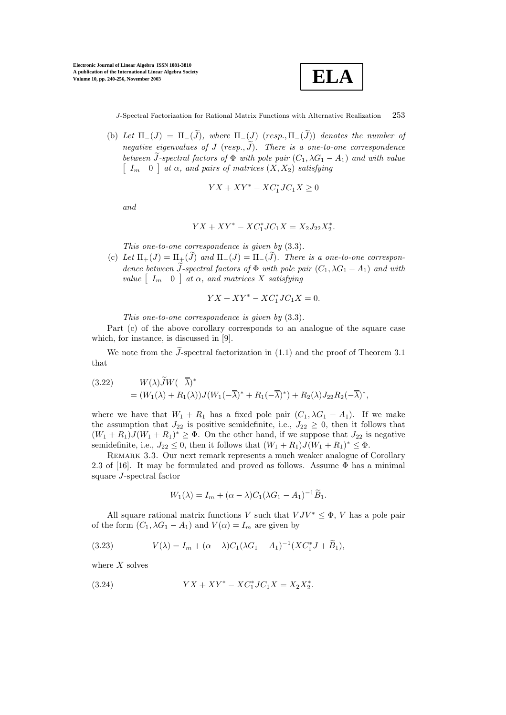

(b) Let  $\Pi_-(J) = \Pi_-(\widetilde{J})$ , where  $\Pi_-(J)$  (resp.,  $\Pi_-(\widetilde{J})$ ) denotes the number of  $negative$  eigenvalues of  $J$  (resp.,  $\widetilde{J}$ ). There is a one-to-one correspondence *between*  $\tilde{J}$ -spectral factors of  $\Phi$  *with pole pair*  $(C_1, \lambda G_1 - A_1)$  *and with value*  $\begin{bmatrix} I_m & 0 \end{bmatrix}$  at  $\alpha$ , and pairs of matrices  $(X, X_2)$  satisfying

$$
YX + XY^* - XC_1^*JC_1X \ge 0
$$

*and*

$$
YX + XY^* - XC_1^*JC_1X = X_2J_{22}X_2^*.
$$

*This one-to-one correspondence is given by* (3.3)*.*

(c) Let  $\Pi_+(J) = \Pi_{\pm}(\tilde{J})$  and  $\Pi_-(J) = \Pi_-(\tilde{J})$ . There is a one-to-one correspon*dence between*  $\tilde{J}$ -spectral factors of  $\Phi$  *with pole pair*  $(C_1, \lambda G_1 - A_1)$  *and with*  $value \begin{bmatrix} I_m & 0 \end{bmatrix}$  at  $\alpha$ , and matrices X satisfying

$$
YX + XY^* - XC_1^*JC_1X = 0.
$$

*This one-to-one correspondence is given by* (3.3)*.*

Part (c) of the above corollary corresponds to an analogue of the square case which, for instance, is discussed in [9].

We note from the  $\tilde{J}$ -spectral factorization in (1.1) and the proof of Theorem 3.1 that

(3.22) 
$$
W(\lambda) \widetilde{J}W(-\overline{\lambda})^* = (W_1(\lambda) + R_1(\lambda))J(W_1(-\overline{\lambda})^* + R_1(-\overline{\lambda})^*) + R_2(\lambda)J_{22}R_2(-\overline{\lambda})^*,
$$

where we have that  $W_1 + R_1$  has a fixed pole pair  $(C_1, \lambda G_1 - A_1)$ . If we make the assumption that  $J_{22}$  is positive semidefinite, i.e.,  $J_{22} \geq 0$ , then it follows that  $(W_1 + R_1)J(W_1 + R_1)^* \geq \Phi$ . On the other hand, if we suppose that  $J_{22}$  is negative semidefinite, i.e.,  $J_{22} \leq 0$ , then it follows that  $(W_1 + R_1)J(W_1 + R_1)^* \leq \Phi$ .

Remark 3.3. Our next remark represents a much weaker analogue of Corollary 2.3 of [16]. It may be formulated and proved as follows. Assume  $\Phi$  has a minimal square J-spectral factor

$$
W_1(\lambda) = I_m + (\alpha - \lambda)C_1(\lambda G_1 - A_1)^{-1}\widetilde{B}_1.
$$

All square rational matrix functions V such that  $V J V^* \leq \Phi$ , V has a pole pair of the form  $(C_1, \lambda G_1 - A_1)$  and  $V(\alpha) = I_m$  are given by

(3.23) 
$$
V(\lambda) = I_m + (\alpha - \lambda)C_1(\lambda G_1 - A_1)^{-1}(XC_1^*J + \widetilde{B}_1),
$$

where  $X$  solves

(3.24) 
$$
YX + XY^* - XC_1^*JC_1X = X_2X_2^*.
$$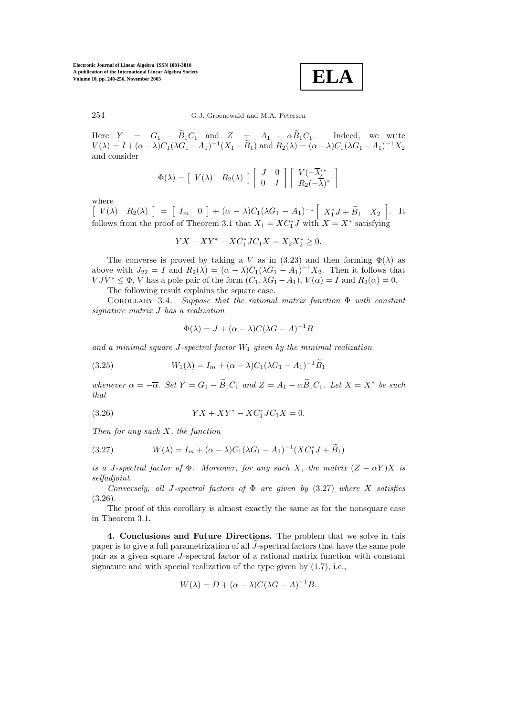**ELA**

254 G.J. Groenewald and M.A. Petersen

Here  $Y = G_1 - \widetilde{B}_1 C_1$  and  $Z = A_1 - \alpha \widetilde{B}_1 C_1$ . Indeed, we write  $V(\lambda) = I + (\alpha - \lambda)C_1(\lambda G_1 - A_1)^{-1}(X_1 + \widetilde{B}_1)$  and  $R_2(\lambda) = (\alpha - \lambda)C_1(\lambda G_1 - A_1)^{-1}X_2$ and consider

$$
\Phi(\lambda) = \begin{bmatrix} V(\lambda) & R_2(\lambda) \end{bmatrix} \begin{bmatrix} J & 0 \\ 0 & I \end{bmatrix} \begin{bmatrix} V(-\overline{\lambda})^* \\ R_2(-\overline{\lambda})^* \end{bmatrix}
$$

where

 $[V(\lambda) \quad R_2(\lambda)] = [I_m \quad 0] + (\alpha - \lambda)C_1(\lambda G_1 - A_1)^{-1} [X_1^* J + \widetilde{B}_1 \quad X_2].$  It follows from the proof of Theorem 3.1 that  $X_1 = XC_1^* J$  with  $X = X^*$  satisfying

$$
YX + XY^* - XC_1^*JC_1X = X_2X_2^* \ge 0.
$$

The converse is proved by taking a V as in (3.23) and then forming  $\Phi(\lambda)$  as above with  $J_{22} = I$  and  $R_2(\lambda) = (\alpha - \lambda)C_1(\lambda G_1 - A_1)^{-1}X_2$ . Then it follows that  $V J V^* \leq \Phi$ , V has a pole pair of the form  $(C_1, \lambda G_1 - A_1)$ ,  $V(\alpha) = I$  and  $R_2(\alpha) = 0$ .

The following result explains the square case.

Corollary 3.4. *Suppose that the rational matrix function* Φ *with constant signature matrix* J *has a realization*

$$
\Phi(\lambda) = J + (\alpha - \lambda)C(\lambda G - A)^{-1}B
$$

and a minimal square  $J$ -spectral factor  $W_1$  given by the minimal realization

(3.25) 
$$
W_1(\lambda) = I_m + (\alpha - \lambda)C_1(\lambda G_1 - A_1)^{-1}\widetilde{B}_1
$$

*whenever*  $\alpha = -\overline{\alpha}$ *. Set*  $Y = G_1 - \widetilde{B}_1C_1$  *and*  $Z = A_1 - \alpha \widetilde{B}_1C_1$ *. Let*  $X = X^*$  *be such that*

(3.26) 
$$
YX + XY^* - XC_1^*JC_1X = 0.
$$

*Then for any such* X*, the function*

(3.27) 
$$
W(\lambda) = I_m + (\alpha - \lambda)C_1(\lambda G_1 - A_1)^{-1}(XC_1^*J + \widetilde{B}_1)
$$

*is a* J-spectral factor of  $\Phi$ *. Moreover, for any such* X*, the matrix*  $(Z - \alpha Y)X$  *is selfadjoint.*

*Conversely, all* J*-spectral factors of* Φ *are given by* (3.27) *where* X *satisfies* (3.26)*.*

The proof of this corollary is almost exactly the same as for the nonsquare case in Theorem 3.1.

**4. Conclusions and Future Directions.** The problem that we solve in this paper is to give a full parametrization of all  $\tilde{J}$ -spectral factors that have the same pole pair as a given square J-spectral factor of a rational matrix function with constant signature and with special realization of the type given by (1.7), i.e.,

$$
W(\lambda) = D + (\alpha - \lambda)C(\lambda G - A)^{-1}B.
$$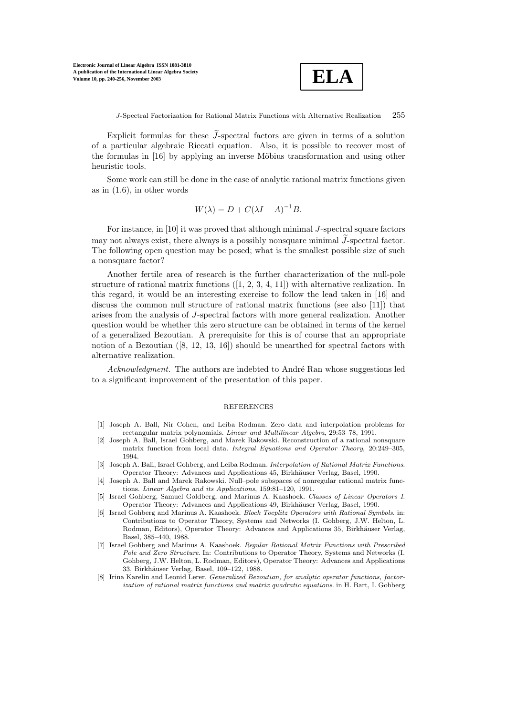

Explicit formulas for these  $\tilde{J}$ -spectral factors are given in terms of a solution of a particular algebraic Riccati equation. Also, it is possible to recover most of the formulas in [16] by applying an inverse Möbius transformation and using other heuristic tools.

Some work can still be done in the case of analytic rational matrix functions given as in (1.6), in other words

$$
W(\lambda) = D + C(\lambda I - A)^{-1}B.
$$

For instance, in [10] it was proved that although minimal J-spectral square factors may not always exist, there always is a possibly nonsquare minimal  $\widetilde{J}$ -spectral factor. The following open question may be posed; what is the smallest possible size of such a nonsquare factor?

Another fertile area of research is the further characterization of the null-pole structure of rational matrix functions  $([1, 2, 3, 4, 11])$  with alternative realization. In this regard, it would be an interesting exercise to follow the lead taken in [16] and discuss the common null structure of rational matrix functions (see also [11]) that arises from the analysis of J-spectral factors with more general realization. Another question would be whether this zero structure can be obtained in terms of the kernel of a generalized Bezoutian. A prerequisite for this is of course that an appropriate notion of a Bezoutian ([8, 12, 13, 16]) should be unearthed for spectral factors with alternative realization.

*Acknowledgment.* The authors are indebted to André Ran whose suggestions led to a significant improvement of the presentation of this paper.

## REFERENCES

- [1] Joseph A. Ball, Nir Cohen, and Leiba Rodman. Zero data and interpolation problems for rectangular matrix polynomials. *Linear and Multilinear Algebra*, 29:53–78, 1991.
- [2] Joseph A. Ball, Israel Gohberg, and Marek Rakowski. Reconstruction of a rational nonsquare matrix function from local data. *Integral Equations and Operator Theory*, 20:249–305, 1994.
- [3] Joseph A. Ball, Israel Gohberg, and Leiba Rodman. *Interpolation of Rational Matrix Functions*. Operator Theory: Advances and Applications 45, Birkhäuser Verlag, Basel, 1990.
- [4] Joseph A. Ball and Marek Rakowski. Null–pole subspaces of nonregular rational matrix functions. *Linear Algebra and its Applications*, 159:81–120, 1991.
- [5] Israel Gohberg, Samuel Goldberg, and Marinus A. Kaashoek. *Classes of Linear Operators I*. Operator Theory: Advances and Applications 49, Birkhäuser Verlag, Basel, 1990.
- [6] Israel Gohberg and Marinus A. Kaashoek. *Block Toeplitz Operators with Rational Symbols*. in: Contributions to Operator Theory, Systems and Networks (I. Gohberg, J.W. Helton, L. Rodman, Editors), Operator Theory: Advances and Applications 35, Birkhäuser Verlag, Basel, 385–440, 1988.
- [7] Israel Gohberg and Marinus A. Kaashoek. *Regular Rational Matrix Functions with Prescribed Pole and Zero Structure*. In: Contributions to Operator Theory, Systems and Networks (I. Gohberg, J.W. Helton, L. Rodman, Editors), Operator Theory: Advances and Applications 33, Birkhäuser Verlag, Basel, 109-122, 1988.
- [8] Irina Karelin and Leonid Lerer. *Generalized Bezoutian, for analytic operator functions, factorization of rational matrix functions and matrix quadratic equations*. in H. Bart, I. Gohberg